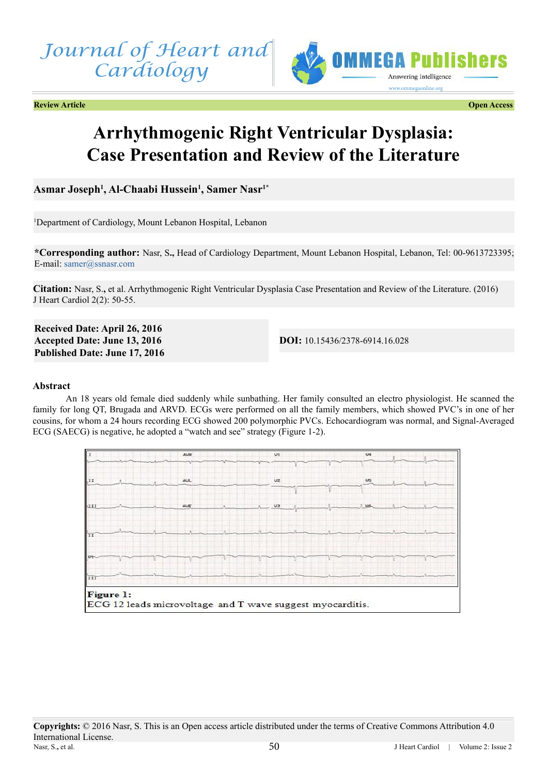



**Review Article Open Access**

# **Arrhythmogenic Right Ventricular Dysplasia: Case Presentation and Review of the Literature**

**Asmar Joseph1 , Al-Chaabi Hussein1 , Samer Nasr1\***

1 Department of Cardiology, Mount Lebanon Hospital, Lebanon

**\*Corresponding author:** Nasr, S**.,** Head of Cardiology Department, Mount Lebanon Hospital, Lebanon, Tel: 00-9613723395; E-mail: [samer@ssnasr.com](mailto:samer%40ssnasr.com?subject=)

**Citation:** Nasr, S.**,** et al. Arrhythmogenic Right Ventricular Dysplasia Case Presentation and Review of the Literature. (2016) J Heart Cardiol 2(2): 50-55.

**Received Date: April 26, 2016 Accepted Date: June 13, 2016 Published Date: June 17, 2016**

**DOI:** [10.15436/2378-6914.16.0](http://www.dx.doi.org/10.15436/2378-6914.16.028)28

# **Abstract**

An 18 years old female died suddenly while sunbathing. Her family consulted an electro physiologist. He scanned the family for long QT, Brugada and ARVD. ECGs were performed on all the family members, which showed PVC's in one of her cousins, for whom a 24 hours recording ECG showed 200 polymorphic PVCs. Echocardiogram was normal, and Signal-Averaged ECG (SAECG) is negative, he adopted a "watch and see" strategy (Figure 1-2).

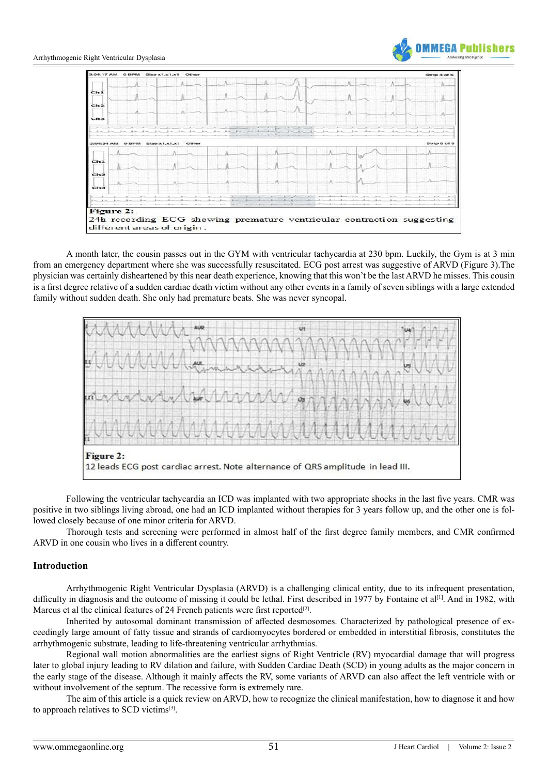

A month later, the cousin passes out in the GYM with ventricular tachycardia at 230 bpm. Luckily, the Gym is at 3 min from an emergency department where she was successfully resuscitated. ECG post arrest was suggestive of ARVD (Figure 3).The physician was certainly disheartened by this near death experience, knowing that this won't be the last ARVD he misses. This cousin is a first degree relative of a sudden cardiac death victim without any other events in a family of seven siblings with a large extended family without sudden death. She only had premature beats. She was never syncopal.



Following the ventricular tachycardia an ICD was implanted with two appropriate shocks in the last five years. CMR was positive in two siblings living abroad, one had an ICD implanted without therapies for 3 years follow up, and the other one is followed closely because of one minor criteria for ARVD.

Thorough tests and screening were performed in almost half of the first degree family members, and CMR confirmed ARVD in one cousin who lives in a different country.

# **Introduction**

Arrhythmogenic Right Ventricular Dysplasia (ARVD) is a challenging clinical entity, due to its infrequent presentation, difficulty in diagnosis and the outcome of missing it could be lethal. First described in 1977 by Fontaine et al<sup>[\[1\]](#page-4-0)</sup>. And in 1982, with Marcus et al the clinical features of 24 French patients were first reported<sup>[\[2\]](#page-4-1)</sup>.

Inherited by autosomal dominant transmission of affected desmosomes. Characterized by pathological presence of exceedingly large amount of fatty tissue and strands of cardiomyocytes bordered or embedded in interstitial fibrosis, constitutes the arrhythmogenic substrate, leading to life-threatening ventricular arrhythmias.

Regional wall motion abnormalities are the earliest signs of Right Ventricle (RV) myocardial damage that will progress later to global injury leading to RV dilation and failure, with Sudden Cardiac Death (SCD) in young adults as the major concern in the early stage of the disease. Although it mainly affects the RV, some variants of ARVD can also affect the left ventricle with or without involvement of the septum. The recessive form is extremely rare.

The aim of this article is a quick review on ARVD, how to recognize the clinical manifestation, how to diagnose it and how to approach relatives to SCD victim[s\[3\]](#page-4-2).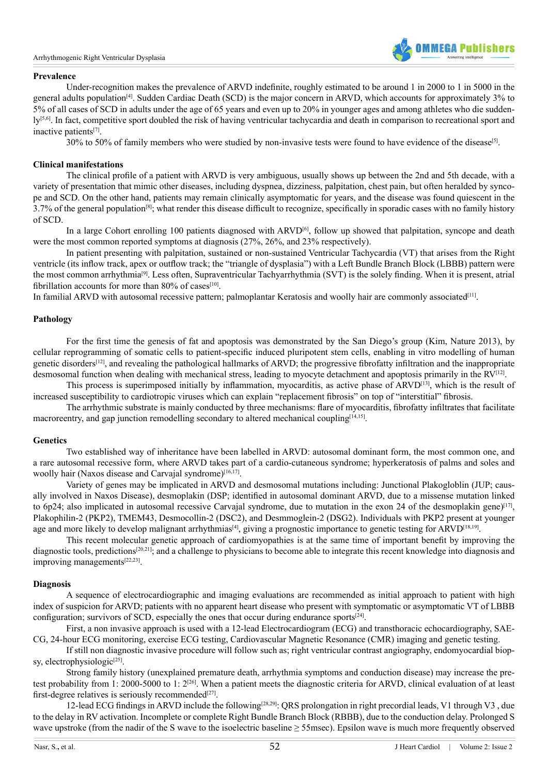

# **Prevalence**

Under-recognition makes the prevalence of ARVD indefinite, roughly estimated to be around 1 in 2000 to 1 in 5000 in the general adults populatio[n\[4\].](#page-4-3) Sudden Cardiac Death (SCD) is the major concern in ARVD, which accounts for approximately 3% to 5% of all cases of SCD in adults under the age of 65 years and even up to 20% in younger ages and among athletes who die suddenly<sup>[5,6]</sup>. In fact, competitive sport doubled the risk of having ventricular tachycardia and death in comparison to recreational sport and inactive patient[s\[7\]](#page-4-5).

30% to 50% of family members who were studied by non-invasive tests were found to have evidence of the diseas[e\[5\]](#page-4-4).

# **Clinical manifestations**

The clinical profile of a patient with ARVD is very ambiguous, usually shows up between the 2nd and 5th decade, with a variety of presentation that mimic other diseases, including dyspnea, dizziness, palpitation, chest pain, but often heralded by syncope and SCD. On the other hand, patients may remain clinically asymptomatic for years, and the disease was found quiescent in the  $3.7\%$  of the general population<sup>[8]</sup>; what render this disease difficult to recognize, specifically in sporadic cases with no family history of SCD.

In a large Cohort enrolling 100 patients diagnosed with ARVD<sup>[\[6\]](#page-4-7)</sup>, follow up showed that palpitation, syncope and death were the most common reported symptoms at diagnosis (27%, 26%, and 23% respectively).

In patient presenting with palpitation, sustained or non-sustained Ventricular Tachycardia (VT) that arises from the Right ventricle (its inflow track, apex or outflow track; the "triangle of dysplasia") with a Left Bundle Branch Block (LBBB) pattern were the most common arrhythmia[\[9\]](#page-4-8). Less often, Supraventricular Tachyarrhythmia (SVT) is the solely finding. When it is present, atrial fibrillation accounts for more than  $80\%$  of cases<sup>[10]</sup>.

In familial ARVD with autosomal recessive pattern; palmoplantar Keratosis and woolly hair are commonly associated<sup>[\[11\]](#page-4-10)</sup>.

# **Pathology**

For the first time the genesis of fat and apoptosis was demonstrated by the San Diego's group (Kim, Nature 2013), by cellular reprogramming of somatic cells to patient-specific induced pluripotent stem cells, enabling in vitro modelling of human genetic disorders<sup>[12]</sup>, and revealing the pathological hallmarks of ARVD; the progressive fibrofatty infiltration and the inappropriate desmosomal function when dealing with mechanical stress, leading to myocyte detachment and apoptosis primarily in the  $RV^{[12]}$  $RV^{[12]}$  $RV^{[12]}$ .

This process is superimposed initially by inflammation, myocarditis, as active phase of ARVD[\[13\],](#page-4-12) which is the result of increased susceptibility to cardiotropic viruses which can explain "replacement fibrosis" on top of "interstitial" fibrosis.

The arrhythmic substrate is mainly conducted by three mechanisms: flare of myocarditis, fibrofatty infiltrates that facilitate macroreentry, and gap junction remodelling secondary to altered mechanical coupling<sup>[14,15]</sup>.

### **Genetics**

Two established way of inheritance have been labelled in ARVD: autosomal dominant form, the most common one, and a rare autosomal recessive form, where ARVD takes part of a cardio-cutaneous syndrome; hyperkeratosis of palms and soles and woolly hair (Naxos disease and Carvajal syndrome)<sup>[16,17]</sup>.

Variety of genes may be implicated in ARVD and desmosomal mutations including: Junctional Plakogloblin (JUP; causally involved in Naxos Disease), desmoplakin (DSP; identified in autosomal dominant ARVD, due to a missense mutation linked to 6p24; also implicated in autosomal recessive Carvajal syndrome, due to mutation in the exon 24 of the desmoplakin gene)<sup>[17]</sup>, Plakophilin-2 (PKP2), TMEM43, Desmocollin-2 (DSC2), and Desmmoglein-2 (DSG2). Individuals with PKP2 present at younger age and more likely to develop malignant arrhythmias<sup>[4]</sup>, giving a prognostic importance to genetic testing for ARVD<sup>[18,19]</sup>.

This recent molecular genetic approach of cardiomyopathies is at the same time of important benefit by improving the diagnostic tools, predictions<sup>[20,21]</sup>; and a challenge to physicians to become able to integrate this recent knowledge into diagnosis and improving management[s\[22,23\]](#page-4-18).

# **Diagnosis**

A sequence of electrocardiographic and imaging evaluations are recommended as initial approach to patient with high index of suspicion for ARVD; patients with no apparent heart disease who present with symptomatic or asymptomatic VT of LBBB configuration; survivors of SCD, especially the ones that occur during endurance sports<sup>[24]</sup>.

First, a non invasive approach is used with a 12-lead Electrocardiogram (ECG) and transthoracic echocardiography, SAE-CG, 24-hour ECG monitoring, exercise ECG testing, Cardiovascular Magnetic Resonance (CMR) imaging and genetic testing.

If still non diagnostic invasive procedure will follow such as; right ventricular contrast angiography, endomyocardial biopsy, electrophysiologic $[25]$ .

Strong family history (unexplained premature death, arrhythmia symptoms and conduction disease) may increase the pretest probability from 1: 2000-5000 to 1: 2<sup>[26]</sup>. When a patient meets the diagnostic criteria for ARVD, clinical evaluation of at least first-degree relatives is seriously recommended<sup>[27]</sup>.

12-lead ECG findings in ARVD include the following[\[28,29\]:](#page-4-23) QRS prolongation in right precordial leads, V1 through V3 , due to the delay in RV activation. Incomplete or complete Right Bundle Branch Block (RBBB), due to the conduction delay. Prolonged S wave upstroke (from the nadir of the S wave to the isoelectric baseline ≥ 55msec). Epsilon wave is much more frequently observed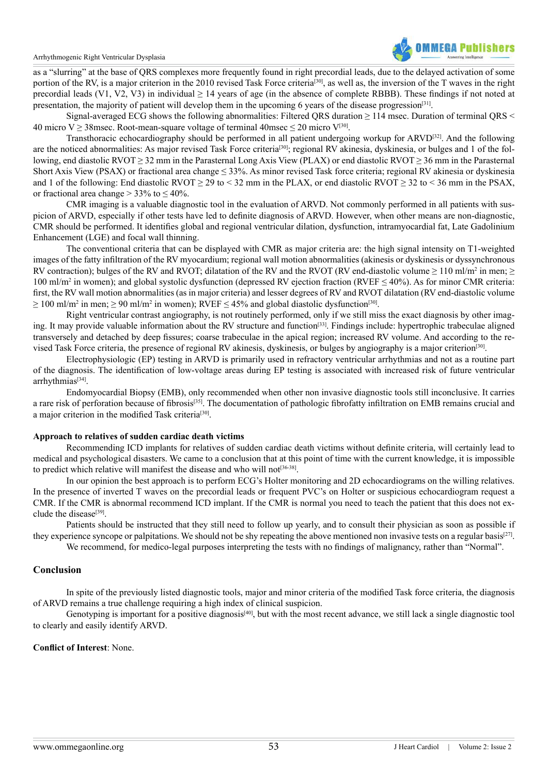

as a "slurring" at the base of QRS complexes more frequently found in right precordial leads, due to the delayed activation of some portion of the RV, is a major criterion in the 2010 revised Task Force criteria<sup>[30]</sup>, as well as, the inversion of the T waves in the right precordial leads (V1, V2, V3) in individual  $\geq$  14 years of age (in the absence of complete RBBB). These findings if not noted at presentation, the majority of patient will develop them in the upcoming 6 years of the disease progression<sup>[31]</sup>.

Signal-averaged ECG shows the following abnormalities: Filtered QRS duration ≥ 114 msec. Duration of terminal QRS < 40 micro V  $\geq$  38msec. Root-mean-square voltage of terminal 40msec  $\leq$  20 micro V<sup>[\[30\]](#page-4-24)</sup>.

Transthoracic echocardiography should be performed in all patient undergoing workup for ARVD[\[32\].](#page-4-26) And the following are the noticed abnormalities: As major revised Task Force criteria<sup>[30]</sup>; regional RV akinesia, dyskinesia, or bulges and 1 of the following, end diastolic RVOT  $\geq$  32 mm in the Parasternal Long Axis View (PLAX) or end diastolic RVOT  $\geq$  36 mm in the Parasternal Short Axis View (PSAX) or fractional area change  $\leq$  33%. As minor revised Task force criteria; regional RV akinesia or dyskinesia and 1 of the following: End diastolic RVOT  $\geq$  29 to < 32 mm in the PLAX, or end diastolic RVOT  $\geq$  32 to < 36 mm in the PSAX, or fractional area change  $>$  33% to  $\leq$  40%.

CMR imaging is a valuable diagnostic tool in the evaluation of ARVD. Not commonly performed in all patients with suspicion of ARVD, especially if other tests have led to definite diagnosis of ARVD. However, when other means are non-diagnostic, CMR should be performed. It identifies global and regional ventricular dilation, dysfunction, intramyocardial fat, Late Gadolinium Enhancement (LGE) and focal wall thinning.

The conventional criteria that can be displayed with CMR as major criteria are: the high signal intensity on T1-weighted images of the fatty infiltration of the RV myocardium; regional wall motion abnormalities (akinesis or dyskinesis or dyssynchronous RV contraction); bulges of the RV and RVOT; dilatation of the RV and the RVOT (RV end-diastolic volume  $\geq 110$  ml/m<sup>2</sup> in men;  $\geq$ 100 ml/m2 in women); and global systolic dysfunction (depressed RV ejection fraction (RVEF ≤ 40%). As for minor CMR criteria: first, the RV wall motion abnormalities (as in major criteria) and lesser degrees of RV and RVOT dilatation (RV end-diastolic volume  $\geq$  100 ml/m<sup>2</sup> in men;  $\geq$  90 ml/m<sup>2</sup> in women); RVEF  $\leq$  45% and global diastolic dysfunction<sup>[30]</sup>.

Right ventricular contrast angiography, is not routinely performed, only if we still miss the exact diagnosis by other imaging. It may provide valuable information about the RV structure and functio[n\[33\].](#page-5-0) Findings include: hypertrophic trabeculae aligned transversely and detached by deep fissures; coarse trabeculae in the apical region; increased RV volume. And according to the revised Task Force criteria, the presence of regional RV akinesis, dyskinesis, or bulges by angiography is a major criterio[n\[30\].](#page-4-24)

Electrophysiologic (EP) testing in ARVD is primarily used in refractory ventricular arrhythmias and not as a routine part of the diagnosis. The identification of low-voltage areas during EP testing is associated with increased risk of future ventricular arrhythmias<sup>[\[34\]](#page-5-1)</sup>.

Endomyocardial Biopsy (EMB), only recommended when other non invasive diagnostic tools still inconclusive. It carries a rare risk of perforation because of fibrosis<sup>[\[35\]](#page-5-2)</sup>. The documentation of pathologic fibrofatty infiltration on EMB remains crucial and a major criterion in the modified Task criteria[\[30\]](#page-4-24).

### **Approach to relatives of sudden cardiac death victims**

Recommending ICD implants for relatives of sudden cardiac death victims without definite criteria, will certainly lead to medical and psychological disasters. We came to a conclusion that at this point of time with the current knowledge, it is impossible to predict which relative will manifest the disease and who will not<sup>[\[36-38\]](#page-5-3)</sup>.

In our opinion the best approach is to perform ECG's Holter monitoring and 2D echocardiograms on the willing relatives. In the presence of inverted T waves on the precordial leads or frequent PVC's on Holter or suspicious echocardiogram request a CMR. If the CMR is abnormal recommend ICD implant. If the CMR is normal you need to teach the patient that this does not exclude the disease $[39]$ .

Patients should be instructed that they still need to follow up yearly, and to consult their physician as soon as possible if they experience syncope or palpitations. We should not be shy repeating the above mentioned non invasive tests on a regular basis<sup>[27]</sup>.

We recommend, for medico-legal purposes interpreting the tests with no findings of malignancy, rather than "Normal".

# **Conclusion**

In spite of the previously listed diagnostic tools, major and minor criteria of the modified Task force criteria, the diagnosis of ARVD remains a true challenge requiring a high index of clinical suspicion.

Genotyping is important for a positive diagnosis<sup>[40]</sup>, but with the most recent advance, we still lack a single diagnostic tool to clearly and easily identify ARVD.

# **Conflict of Interest**: None.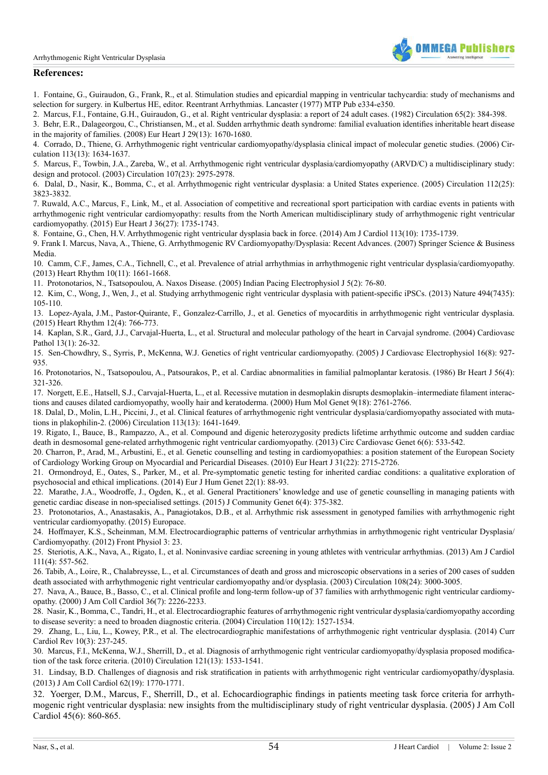

# **References:**

<span id="page-4-0"></span>1. Fontaine, G., Guiraudon, G., Frank, R., et al. Stimulation studies and epicardial mapping in ventricular tachycardia: study of mechanisms and selection for surgery. in Kulbertus HE, editor. Reentrant Arrhythmias. Lancaster (1977) MTP Pub e334-e350.

<span id="page-4-1"></span>2. [Marcus, F.I., Fontaine, G.H., Guiraudon, G., et al. Right ventricular dysplasia: a report of 24 adult cases. \(1982\) Circulation 65\(2\): 384-398.](http://www.ncbi.nlm.nih.gov/pubmed/7053899)

<span id="page-4-2"></span>3. [Behr, E.R., Dalageorgou, C., Christiansen, M., et al. Sudden arrhythmic death syndrome: familial evaluation identifies inheritable heart disease](http://www.ncbi.nlm.nih.gov/pubmed/18508782) [in the majority of families. \(2008\) Eur Heart J 29\(13\): 1670-1680.](http://www.ncbi.nlm.nih.gov/pubmed/18508782) 

<span id="page-4-3"></span>4. [Corrado, D., Thiene, G. Arrhythmogenic right ventricular cardiomyopathy/dysplasia clinical impact of molecular genetic studies. \(2006\) Cir](http://www.ncbi.nlm.nih.gov/pubmed/16585401)[culation 113\(13\): 1634-1637.](http://www.ncbi.nlm.nih.gov/pubmed/16585401) 

<span id="page-4-4"></span>5. [Marcus, F., Towbin, J.A., Zareba, W., et al. Arrhythmogenic right ventricular dysplasia/cardiomyopathy \(ARVD/C\) a multidisciplinary study:](http://www.ncbi.nlm.nih.gov/pubmed/12814984) [design and protocol. \(2003\) Circulation 107\(23\): 2975-2978.](http://www.ncbi.nlm.nih.gov/pubmed/12814984) 

<span id="page-4-7"></span>6. [Dalal, D., Nasir, K., Bomma, C., et al. Arrhythmogenic right ventricular dysplasia: a United States experience. \(2005\) Circulation 112\(25\):](http://www.ncbi.nlm.nih.gov/pubmed/16344387) [3823-3832.](http://www.ncbi.nlm.nih.gov/pubmed/16344387) 

<span id="page-4-5"></span>7. [Ruwald, A.C., Marcus, F., Link, M., et al. Association of competitive and recreational sport participation with cardiac events in patients with](http://www.ncbi.nlm.nih.gov/pubmed/25896080) [arrhythmogenic right ventricular cardiomyopathy: results from the North American multidisciplinary study of arrhythmogenic right ventricular](http://www.ncbi.nlm.nih.gov/pubmed/25896080) [cardiomyopathy. \(2015\) Eur Heart J 36\(27\): 1735-1743.](http://www.ncbi.nlm.nih.gov/pubmed/25896080) 

<span id="page-4-6"></span>8. [Fontaine, G., Chen, H.V. Arrhythmogenic right ventricular dysplasia back in force. \(2014\) Am J Cardiol 113\(10\): 1735-1739.](http://www.ncbi.nlm.nih.gov/pubmed/24792741) 

<span id="page-4-8"></span>9. [Frank I. Marcus, Nava, A., Thiene, G. Arrhythmogenic RV Cardiomyopathy/Dysplasia: Recent Advances. \(2007\) Springer Science & Business](https://books.google.co.in/books?id=f-_9F3op1U0C&printsec=frontcover#v=onepage&q&f=false) [Media.](https://books.google.co.in/books?id=f-_9F3op1U0C&printsec=frontcover#v=onepage&q&f=false)

<span id="page-4-9"></span>10. [Camm, C.F., James, C.A., Tichnell, C., et al. Prevalence of atrial arrhythmias in arrhythmogenic right ventricular dysplasia/cardiomyopathy.](http://www.ncbi.nlm.nih.gov/pubmed/23994726) [\(2013\) Heart Rhythm 10\(11\): 1661-1668.](http://www.ncbi.nlm.nih.gov/pubmed/23994726) 

<span id="page-4-10"></span>11. [Protonotarios, N., Tsatsopoulou, A. Naxos Disease. \(2005\) Indian Pacing Electrophysiol J 5\(2\): 76-80.](http://www.ncbi.nlm.nih.gov/pmc/articles/PMC1502077/) 

<span id="page-4-11"></span>12. [Kim, C., Wong, J., Wen, J., et al. Studying arrhythmogenic right ventricular dysplasia with patient-specific iPSCs. \(2013\) Nature 494\(7435\):](http://www.ncbi.nlm.nih.gov/pubmed/23354045) [105-110.](http://www.ncbi.nlm.nih.gov/pubmed/23354045) 

<span id="page-4-12"></span>13. [Lopez-Ayala, J.M., Pastor-Quirante, F., Gonzalez-Carrillo, J., et al. Genetics of myocarditis in arrhythmogenic right ventricular dysplasia.](http://www.ncbi.nlm.nih.gov/pubmed/25616123) [\(2015\) Heart Rhythm 12\(4\): 766-773.](http://www.ncbi.nlm.nih.gov/pubmed/25616123) 

<span id="page-4-13"></span>14. [Kaplan, S.R., Gard, J.J., Carvajal-Huerta, L., et al. Structural and molecular pathology of the heart in Carvajal syndrome. \(2004\) Cardiovasc](http://www.ncbi.nlm.nih.gov/pubmed/14761782) [Pathol 13\(1\): 26-32.](http://www.ncbi.nlm.nih.gov/pubmed/14761782)

15. [Sen-Chowdhry, S., Syrris, P., McKenna, W.J. Genetics of right ventricular cardiomyopathy. \(2005\) J Cardiovasc Electrophysiol 16\(8\): 927-](http://www.ncbi.nlm.nih.gov/pubmed/16101641) [935.](http://www.ncbi.nlm.nih.gov/pubmed/16101641) 

<span id="page-4-14"></span>16. [Protonotarios, N., Tsatsopoulou, A., Patsourakos, P., et al. Cardiac abnormalities in familial palmoplantar keratosis. \(1986\) Br Heart J 56\(4\):](http://www.ncbi.nlm.nih.gov/pubmed/2945574) [321-326.](http://www.ncbi.nlm.nih.gov/pubmed/2945574) 

<span id="page-4-15"></span>17. [Norgett, E.E., Hatsell, S.J., Carvajal-Huerta, L., et al. Recessive mutation in desmoplakin disrupts desmoplakin–intermediate filament interac](http://www.ncbi.nlm.nih.gov/pubmed/11063735)[tions and causes dilated cardiomyopathy, woolly hair and keratoderma. \(2000\) Hum Mol Genet 9\(18\): 2761-2766.](http://www.ncbi.nlm.nih.gov/pubmed/11063735)

<span id="page-4-16"></span>18. [Dalal, D., Molin, L.H., Piccini, J., et al. Clinical features of arrhythmogenic right ventricular dysplasia/cardiomyopathy associated with muta](http://www.ncbi.nlm.nih.gov/pubmed/16549640)[tions in plakophilin-2. \(2006\) Circulation 113\(13\): 1641-1649.](http://www.ncbi.nlm.nih.gov/pubmed/16549640) 

19. [Rigato, I., Bauce, B., Rampazzo, A., et al. Compound and digenic heterozygosity predicts lifetime arrhythmic outcome and sudden cardiac](http://www.ncbi.nlm.nih.gov/pubmed/24070718) [death in desmosomal gene-related arrhythmogenic right ventricular cardiomyopathy. \(2013\) Circ Cardiovasc Genet 6\(6\): 533-542.](http://www.ncbi.nlm.nih.gov/pubmed/24070718)

<span id="page-4-17"></span>20. [Charron, P., Arad, M., Arbustini, E., et al. Genetic counselling and testing in cardiomyopathies: a position statement of the European Society](http://www.ncbi.nlm.nih.gov/pubmed/20823110) [of Cardiology Working Group on Myocardial and Pericardial Diseases. \(2010\) Eur Heart J 31\(22\): 2715-2726.](http://www.ncbi.nlm.nih.gov/pubmed/20823110) 

21. [Ormondroyd, E., Oates, S., Parker, M., et al. Pre-symptomatic genetic testing for inherited cardiac conditions: a qualitative exploration of](http://www.ncbi.nlm.nih.gov/pubmed/23632793) [psychosocial and ethical implications. \(2014\) Eur J Hum Genet 22\(1\): 88-93.](http://www.ncbi.nlm.nih.gov/pubmed/23632793) 

<span id="page-4-18"></span>22. [Marathe, J.A., Woodroffe, J., Ogden, K., et al. General Practitioners' knowledge and use of genetic counselling in managing patients with](http://www.ncbi.nlm.nih.gov/pubmed/25963807) [genetic cardiac disease in non-specialised settings. \(2015\) J Community Genet 6\(4\): 375-382.](http://www.ncbi.nlm.nih.gov/pubmed/25963807) 

23. [Protonotarios, A., Anastasakis, A., Panagiotakos, D.B., et al. Arrhythmic risk assessment in genotyped families with arrhythmogenic right](http://europace.oxfordjournals.org/content/early/2015/03/29/europace.euv061.article-info) [ventricular cardiomyopathy. \(2015\) Europace.](http://europace.oxfordjournals.org/content/early/2015/03/29/europace.euv061.article-info) 

<span id="page-4-19"></span>24. [Hoffmayer, K.S., Scheinman, M.M. Electrocardiographic patterns of ventricular arrhythmias in arrhythmogenic right ventricular Dysplasia/](http://www.ncbi.nlm.nih.gov/pmc/articles/PMC3280482/) [Cardiomyopathy. \(2012\) Front Physiol 3: 23.](http://www.ncbi.nlm.nih.gov/pmc/articles/PMC3280482/) 

<span id="page-4-20"></span>25. [Steriotis, A.K., Nava, A., Rigato, I., et al. Noninvasive cardiac screening in young athletes with ventricular arrhythmias. \(2013\) Am J Cardiol](http://www.ncbi.nlm.nih.gov/pubmed/23219000) [111\(4\): 557-562](http://www.ncbi.nlm.nih.gov/pubmed/23219000).

<span id="page-4-21"></span>26. [Tabib, A., Loire, R., Chalabreysse, L., et al. Circumstances of death and gross and microscopic observations in a series of 200 cases of sudden](http://www.ncbi.nlm.nih.gov/pubmed/14662701) [death associated with arrhythmogenic right ventricular cardiomyopathy and/or dysplasia. \(2003\) Circulation 108\(24\): 3000-3005.](http://www.ncbi.nlm.nih.gov/pubmed/14662701) 

<span id="page-4-22"></span>27. [Nava, A., Bauce, B., Basso, C., et al. Clinical profile and long-term follow-up of 37 families with arrhythmogenic right ventricular cardiomy](http://www.ncbi.nlm.nih.gov/pubmed/11127465)[opathy. \(2000\) J Am Coll Cardiol 36\(7\): 2226-2233.](http://www.ncbi.nlm.nih.gov/pubmed/11127465) 

<span id="page-4-23"></span>28. [Nasir, K., Bomma, C., Tandri, H., et al. Electrocardiographic features of arrhythmogenic right ventricular dysplasia/cardiomyopathy according](http://www.ncbi.nlm.nih.gov/pubmed/15381658) [to disease severity: a need to broaden diagnostic criteria. \(2004\) Circulation 110\(12\): 1527-1534.](http://www.ncbi.nlm.nih.gov/pubmed/15381658) 

29. [Zhang, L., Liu, L., Kowey, P.R., et al. The electrocardiographic manifestations of arrhythmogenic right ventricular dysplasia. \(2014\) Curr](http://www.ncbi.nlm.nih.gov/pubmed/24827798) [Cardiol Rev 10\(3\): 237-245.](http://www.ncbi.nlm.nih.gov/pubmed/24827798) 

<span id="page-4-24"></span>30. [Marcus, F.I., McKenna, W.J., Sherrill, D., et al. Diagnosis of arrhythmogenic right ventricular cardiomyopathy/dysplasia proposed modifica](http://www.ncbi.nlm.nih.gov/pubmed/20172911)[tion of the task force criteria. \(2010\) Circulation 121\(13\): 1533-1541.](http://www.ncbi.nlm.nih.gov/pubmed/20172911) 

<span id="page-4-25"></span>31. [Lindsay, B.D. Challenges of diagnosis and risk stratification in patients with arrhythmogenic right ventricular cardiomy](http://www.ncbi.nlm.nih.gov/pubmed/23810878)opathy/dysplasia. [\(2013\) J Am Coll Cardiol 62\(19\): 1770-1771.](http://www.ncbi.nlm.nih.gov/pubmed/23810878) 

<span id="page-4-26"></span>32. [Yoerger, D.M., Marcus, F., Sherrill, D., et al. Echocardiographic findings in patients meeting task force criteria for arrhyth](http://www.ncbi.nlm.nih.gov/pubmed/15766820)[mogenic right ventricular dysplasia: new insights from the multidisciplinary study of right ventricular dysplasia. \(2005\) J Am Coll](http://www.ncbi.nlm.nih.gov/pubmed/15766820) [Cardiol 45\(6\): 860-865.](http://www.ncbi.nlm.nih.gov/pubmed/15766820)